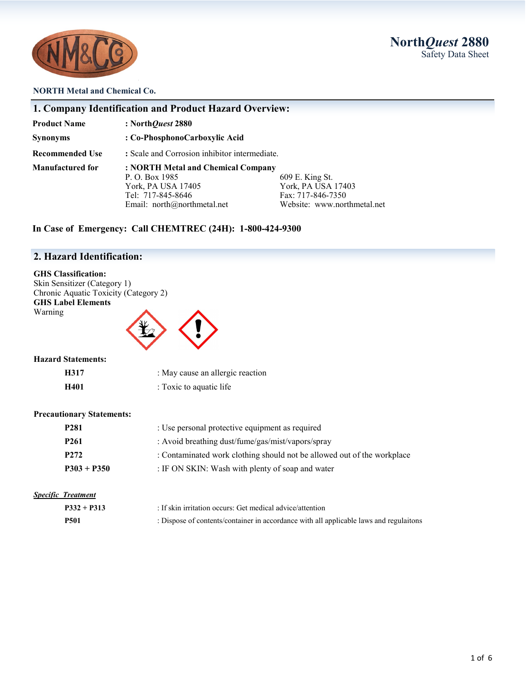



### **NORTH Metal and Chemical Co.**

| <b>Product Name</b>    | : North <i>Quest</i> 2880                                                                                                      |                                                                                           |  |  |
|------------------------|--------------------------------------------------------------------------------------------------------------------------------|-------------------------------------------------------------------------------------------|--|--|
| <b>Synonyms</b>        | : Co-PhosphonoCarboxylic Acid                                                                                                  |                                                                                           |  |  |
| <b>Recommended Use</b> | : Scale and Corrosion inhibitor intermediate.                                                                                  |                                                                                           |  |  |
| Manufactured for       | : NORTH Metal and Chemical Company<br>P. O. Box 1985<br>York, PA USA 17405<br>Tel: 717-845-8646<br>Email: north@northmetal.net | 609 E. King St.<br>York, PA USA 17403<br>Fax: 717-846-7350<br>Website: www.northmetal.net |  |  |

# **2. Hazard Identification:**

**GHS Classification:**  Skin Sensitizer (Category 1) Chronic Aquatic Toxicity (Category 2) **GHS Label Elements** Warning



### **Hazard Statements:**

| H317 | : May cause an allergic reaction |
|------|----------------------------------|
| H401 | : Toxic to aquatic life          |

### **Precautionary Statements:**

| <b>P281</b>      | : Use personal protective equipment as required                         |
|------------------|-------------------------------------------------------------------------|
| <b>P261</b>      | : Avoid breathing dust/fume/gas/mist/vapors/spray                       |
| P <sub>272</sub> | : Contaminated work clothing should not be allowed out of the workplace |
| $P303 + P350$    | : IF ON SKIN: Wash with plenty of soap and water                        |

### *Specific Treatment*

| $P332 + P313$ | : If skin irritation occurs: Get medical advice/attention                              |
|---------------|----------------------------------------------------------------------------------------|
| <b>P501</b>   | : Dispose of contents/container in accordance with all applicable laws and regulaitons |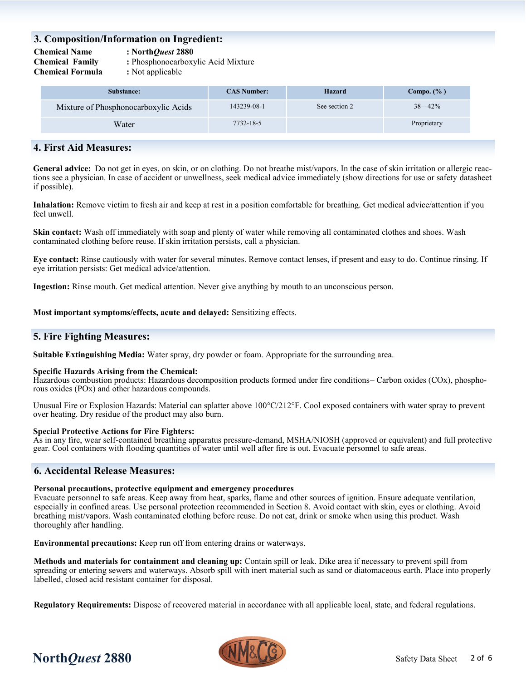## **3. Composition/Information on Ingredient:**

**Chemical Name : North***Quest* **2880**

**Chemical Family :** Phosphonocarboxylic Acid Mixture

**Chemical Formula :** Not applicable

| Substance:                           | <b>CAS Number:</b> | <b>Hazard</b> | Compo. $(\% )$ |
|--------------------------------------|--------------------|---------------|----------------|
| Mixture of Phosphonocarboxylic Acids | 143239-08-1        | See section 2 | $38 - 42\%$    |
| Water                                | 7732-18-5          |               | Proprietary    |

# **4. First Aid Measures:**

General advice: Do not get in eyes, on skin, or on clothing. Do not breathe mist/vapors. In the case of skin irritation or allergic reactions see a physician. In case of accident or unwellness, seek medical advice immediately (show directions for use or safety datasheet if possible).

**Inhalation:** Remove victim to fresh air and keep at rest in a position comfortable for breathing. Get medical advice/attention if you feel unwell.

**Skin contact:** Wash off immediately with soap and plenty of water while removing all contaminated clothes and shoes. Wash contaminated clothing before reuse. If skin irritation persists, call a physician.

**Eye contact:** Rinse cautiously with water for several minutes. Remove contact lenses, if present and easy to do. Continue rinsing. If eye irritation persists: Get medical advice/attention.

**Ingestion:** Rinse mouth. Get medical attention. Never give anything by mouth to an unconscious person.

**Most important symptoms/effects, acute and delayed:** Sensitizing effects.

# **5. Fire Fighting Measures:**

**Suitable Extinguishing Media:** Water spray, dry powder or foam. Appropriate for the surrounding area.

### **Specific Hazards Arising from the Chemical:**

Hazardous combustion products: Hazardous decomposition products formed under fire conditions– Carbon oxides (COx), phosphorous oxides (POx) and other hazardous compounds.

Unusual Fire or Explosion Hazards: Material can splatter above 100°C/212°F. Cool exposed containers with water spray to prevent over heating. Dry residue of the product may also burn.

### **Special Protective Actions for Fire Fighters:**

As in any fire, wear self-contained breathing apparatus pressure-demand, MSHA/NIOSH (approved or equivalent) and full protective gear. Cool containers with flooding quantities of water until well after fire is out. Evacuate personnel to safe areas.

## **6. Accidental Release Measures:**

### **Personal precautions, protective equipment and emergency procedures**

Evacuate personnel to safe areas. Keep away from heat, sparks, flame and other sources of ignition. Ensure adequate ventilation, especially in confined areas. Use personal protection recommended in Section 8. Avoid contact with skin, eyes or clothing. Avoid breathing mist/vapors. Wash contaminated clothing before reuse. Do not eat, drink or smoke when using this product. Wash thoroughly after handling.

**Environmental precautions:** Keep run off from entering drains or waterways.

**Methods and materials for containment and cleaning up:** Contain spill or leak. Dike area if necessary to prevent spill from spreading or entering sewers and waterways. Absorb spill with inert material such as sand or diatomaceous earth. Place into properly labelled, closed acid resistant container for disposal.

**Regulatory Requirements:** Dispose of recovered material in accordance with all applicable local, state, and federal regulations.

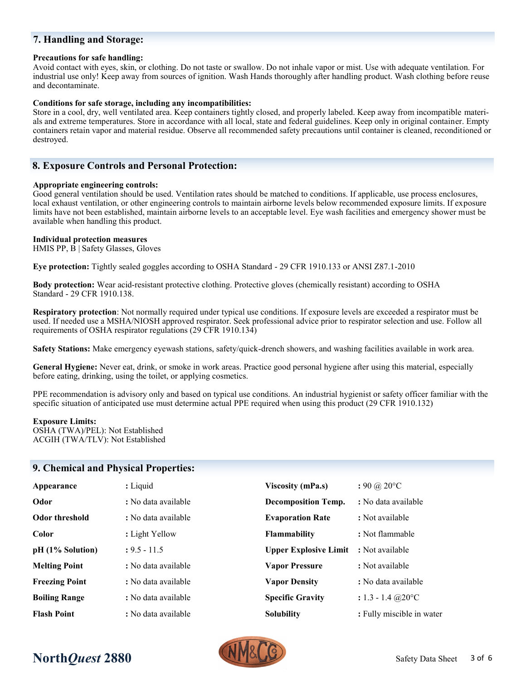# **7. Handling and Storage:**

### **Precautions for safe handling:**

Avoid contact with eyes, skin, or clothing. Do not taste or swallow. Do not inhale vapor or mist. Use with adequate ventilation. For industrial use only! Keep away from sources of ignition. Wash Hands thoroughly after handling product. Wash clothing before reuse and decontaminate.

#### **Conditions for safe storage, including any incompatibilities:**

Store in a cool, dry, well ventilated area. Keep containers tightly closed, and properly labeled. Keep away from incompatible materials and extreme temperatures. Store in accordance with all local, state and federal guidelines. Keep only in original container. Empty containers retain vapor and material residue. Observe all recommended safety precautions until container is cleaned, reconditioned or destroyed.

### **8. Exposure Controls and Personal Protection:**

#### **Appropriate engineering controls:**

Good general ventilation should be used. Ventilation rates should be matched to conditions. If applicable, use process enclosures, local exhaust ventilation, or other engineering controls to maintain airborne levels below recommended exposure limits. If exposure limits have not been established, maintain airborne levels to an acceptable level. Eye wash facilities and emergency shower must be available when handling this product.

### **Individual protection measures**

HMIS PP, B | Safety Glasses, Gloves

**Eye protection:** Tightly sealed goggles according to OSHA Standard - 29 CFR 1910.133 or ANSI Z87.1-2010

**Body protection:** Wear acid-resistant protective clothing. Protective gloves (chemically resistant) according to OSHA Standard - 29 CFR 1910.138.

**Respiratory protection**: Not normally required under typical use conditions. If exposure levels are exceeded a respirator must be used. If needed use a MSHA/NIOSH approved respirator. Seek professional advice prior to respirator selection and use. Follow all requirements of OSHA respirator regulations (29 CFR 1910.134)

**Safety Stations:** Make emergency eyewash stations, safety/quick-drench showers, and washing facilities available in work area.

**General Hygiene:** Never eat, drink, or smoke in work areas. Practice good personal hygiene after using this material, especially before eating, drinking, using the toilet, or applying cosmetics.

PPE recommendation is advisory only and based on typical use conditions. An industrial hygienist or safety officer familiar with the specific situation of anticipated use must determine actual PPE required when using this product (29 CFR 1910.132)

#### **Exposure Limits:**

OSHA (TWA)/PEL): Not Established ACGIH (TWA/TLV): Not Established

## **9. Chemical and Physical Properties:**

| Appearance            | : Liquid            | <b>Viscosity (mPa.s)</b>     | $: 90 \; (a) 20^{\circ}$ C     |
|-----------------------|---------------------|------------------------------|--------------------------------|
| Odor                  | : No data available | <b>Decomposition Temp.</b>   | : No data available            |
| Odor threshold        | : No data available | <b>Evaporation Rate</b>      | : Not available                |
| Color                 | : Light Yellow      | <b>Flammability</b>          | : Not flammable                |
| pH (1% Solution)      | $: 9.5 - 11.5$      | <b>Upper Explosive Limit</b> | : Not available                |
| <b>Melting Point</b>  | : No data available | <b>Vapor Pressure</b>        | : Not available                |
| <b>Freezing Point</b> | : No data available | <b>Vapor Density</b>         | : No data available            |
| <b>Boiling Range</b>  | : No data available | <b>Specific Gravity</b>      | : $1.3 - 1.4$ @ $20^{\circ}$ C |
| <b>Flash Point</b>    | : No data available | <b>Solubility</b>            | : Fully miscible in water      |



# **North***Quest* **2880** Safety Data Sheet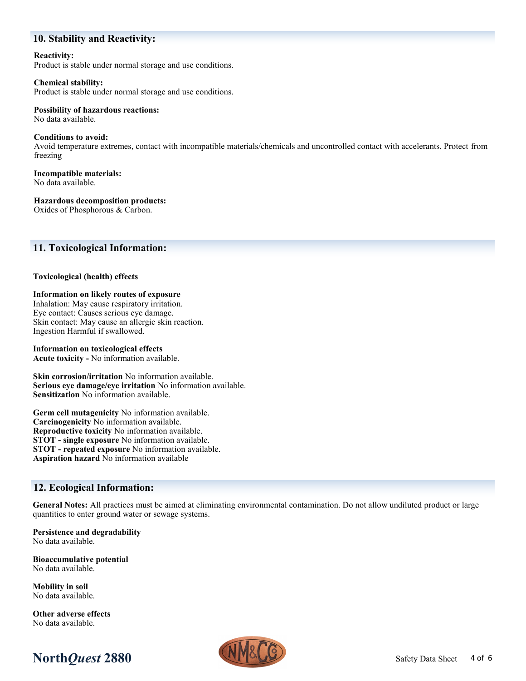# **10. Stability and Reactivity:**

**Reactivity:** Product is stable under normal storage and use conditions.

#### **Chemical stability:** Product is stable under normal storage and use conditions.

#### **Possibility of hazardous reactions:** No data available.

**Conditions to avoid:** Avoid temperature extremes, contact with incompatible materials/chemicals and uncontrolled contact with accelerants. Protect from freezing

**Incompatible materials:** No data available.

**Hazardous decomposition products:**

Oxides of Phosphorous & Carbon.

# **11. Toxicological Information:**

### **Toxicological (health) effects**

### **Information on likely routes of exposure**

Inhalation: May cause respiratory irritation. Eye contact: Causes serious eye damage. Skin contact: May cause an allergic skin reaction. Ingestion Harmful if swallowed.

### **Information on toxicological effects**

**Acute toxicity -** No information available.

**Skin corrosion/irritation** No information available. **Serious eye damage/eye irritation** No information available. **Sensitization** No information available.

**Germ cell mutagenicity** No information available. **Carcinogenicity** No information available. **Reproductive toxicity** No information available. **STOT - single exposure** No information available. **STOT - repeated exposure** No information available. **Aspiration hazard** No information available

# **12. Ecological Information:**

**General Notes:** All practices must be aimed at eliminating environmental contamination. Do not allow undiluted product or large quantities to enter ground water or sewage systems.

**Persistence and degradability** No data available.

**Bioaccumulative potential** No data available.

**Mobility in soil** No data available.

**Other adverse effects** No data available.



# **North***Quest* **2880** Safety Data Sheet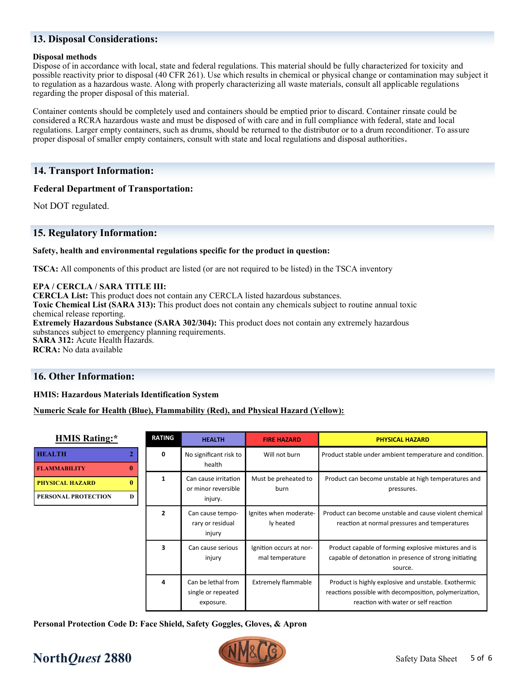# **13. Disposal Considerations:**

### **Disposal methods**

Dispose of in accordance with local, state and federal regulations. This material should be fully characterized for toxicity and possible reactivity prior to disposal (40 CFR 261). Use which results in chemical or physical change or contamination may subject it to regulation as a hazardous waste. Along with properly characterizing all waste materials, consult all applicable regulations regarding the proper disposal of this material.

Container contents should be completely used and containers should be emptied prior to discard. Container rinsate could be considered a RCRA hazardous waste and must be disposed of with care and in full compliance with federal, state and local regulations. Larger empty containers, such as drums, should be returned to the distributor or to a drum reconditioner. To assure proper disposal of smaller empty containers, consult with state and local regulations and disposal authorities.

### **14. Transport Information:**

### **Federal Department of Transportation:**

Not DOT regulated.

## **15. Regulatory Information:**

### **Safety, health and environmental regulations specific for the product in question:**

**TSCA:** All components of this product are listed (or are not required to be listed) in the TSCA inventory

### **EPA / CERCLA / SARA TITLE III:**

**CERCLA List:** This product does not contain any CERCLA listed hazardous substances. **Toxic Chemical List (SARA 313):** This product does not contain any chemicals subject to routine annual toxic chemical release reporting. **Extremely Hazardous Substance (SARA 302/304):** This product does not contain any extremely hazardous substances subject to emergency planning requirements. **SARA 312:** Acute Health Hazards. **RCRA:** No data available

## **16. Other Information:**

### **HMIS: Hazardous Materials Identification System**

### **Numeric Scale for Health (Blue), Flammability (Red), and Physical Hazard (Yellow):**

| <b>HMIS Rating:*</b>                                    | <b>RATING</b>  | <b>HEALTH</b>                                          | <b>FIRE HAZARD</b>                         | <b>PHYSICAL HAZARD</b>                                                                                                                                 |
|---------------------------------------------------------|----------------|--------------------------------------------------------|--------------------------------------------|--------------------------------------------------------------------------------------------------------------------------------------------------------|
| <b>HEALTH</b><br><b>FLAMMABILITY</b><br>$\bf{0}$        | 0<br>1         | No significant risk to<br>health                       | Will not burn                              | Product stable under ambient temperature and condition.                                                                                                |
| 0<br><b>PHYSICAL HAZARD</b><br>PERSONAL PROTECTION<br>D |                | Can cause irritation<br>or minor reversible<br>injury. | Must be preheated to<br>burn               | Product can become unstable at high temperatures and<br>pressures.                                                                                     |
|                                                         | $\overline{2}$ | Can cause tempo-<br>rary or residual<br>injury         | Ignites when moderate-<br>ly heated        | Product can become unstable and cause violent chemical<br>reaction at normal pressures and temperatures                                                |
|                                                         | 3              | Can cause serious<br>injury                            | Ignition occurs at nor-<br>mal temperature | Product capable of forming explosive mixtures and is<br>capable of detonation in presence of strong initiating<br>source.                              |
|                                                         | 4              | Can be lethal from<br>single or repeated<br>exposure.  | <b>Extremely flammable</b>                 | Product is highly explosive and unstable. Exothermic<br>reactions possible with decomposition, polymerization,<br>reaction with water or self reaction |

**Personal Protection Code D: Face Shield, Safety Goggles, Gloves, & Apron**

# **North***Quest* **2880** Safety Data Sheet